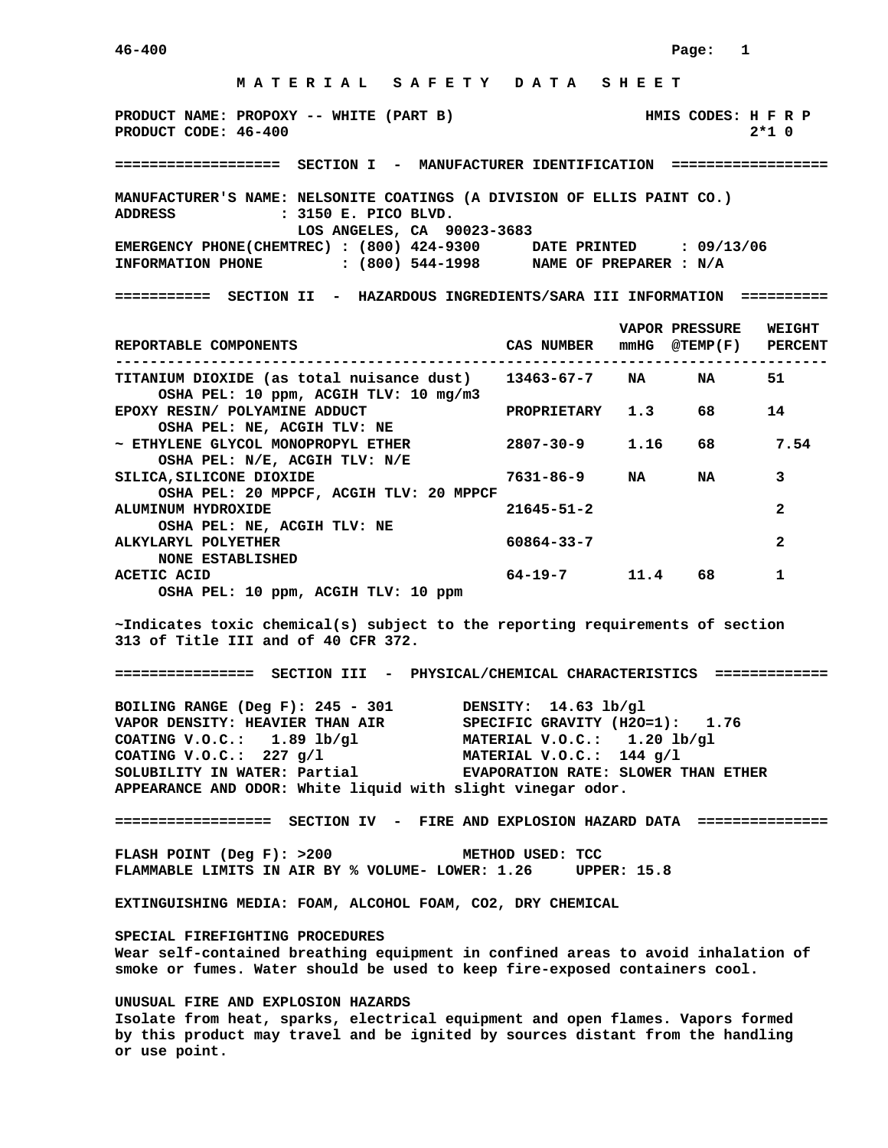## **M A T E R I A L S A F E T Y D A T A S H E E T**

**PRODUCT NAME: PROPOXY -- WHITE (PART B)** HMIS CODES: H F R P **PRODUCT CODE: 46-400** 2\*1 0

## **=================== SECTION I - MANUFACTURER IDENTIFICATION ==================**

**MANUFACTURER'S NAME: NELSONITE COATINGS (A DIVISION OF ELLIS PAINT CO.) ADDRESS : 3150 E. PICO BLVD. LOS ANGELES, CA 90023-3683 EMERGENCY PHONE(CHEMTREC) : (800) 424-9300 DATE PRINTED : 09/13/06 INFORMATION PHONE : (800) 544-1998 NAME OF PREPARER : N/A** 

**=========== SECTION II - HAZARDOUS INGREDIENTS/SARA III INFORMATION ==========** 

| REPORTABLE COMPONENTS                                                                            | CAS NUMBER        | mmHG | <b>VAPOR PRESSURE</b><br>@TEMP(F) PERCENT | <b>WEIGHT</b> |
|--------------------------------------------------------------------------------------------------|-------------------|------|-------------------------------------------|---------------|
|                                                                                                  |                   |      | NA                                        | 51            |
| TITANIUM DIOXIDE (as total nuisance dust) 13463-67-7 NA<br>OSHA PEL: 10 ppm, ACGIH TLV: 10 mg/m3 |                   |      |                                           |               |
| EPOXY RESIN/ POLYAMINE ADDUCT                                                                    | PROPRIETARY 1.3   |      | 68                                        | 14            |
| OSHA PEL: NE, ACGIH TLV: NE                                                                      |                   |      |                                           |               |
| ~ ETHYLENE GLYCOL MONOPROPYL ETHER                                                               | 2807-30-9 1.16 68 |      |                                           | 7.54          |
| OSHA PEL: N/E, ACGIH TLV: N/E                                                                    |                   |      |                                           |               |
| SILICA, SILICONE DIOXIDE                                                                         | $7631 - 86 - 9$   | NA   | NA                                        | 3             |
| OSHA PEL: 20 MPPCF, ACGIH TLV: 20 MPPCF                                                          |                   |      |                                           |               |
| ALUMINUM HYDROXIDE                                                                               | $21645 - 51 - 2$  |      |                                           | $\mathbf{z}$  |
| OSHA PEL: NE, ACGIH TLV: NE                                                                      |                   |      |                                           |               |
| ALKYLARYL POLYETHER                                                                              | $60864 - 33 - 7$  |      |                                           | 2             |
| <b>NONE ESTABLISHED</b>                                                                          |                   |      |                                           |               |
| ACETIC ACID                                                                                      | $64 - 19 - 7$     | 11.4 | 68                                        |               |
| OSHA PEL: 10 ppm, ACGIH TLV: 10 ppm                                                              |                   |      |                                           |               |

**~Indicates toxic chemical(s) subject to the reporting requirements of section 313 of Title III and of 40 CFR 372.** 

**================ SECTION III - PHYSICAL/CHEMICAL CHARACTERISTICS =============** 

**BOILING RANGE (Deg F): 245 - 301 DENSITY: 14.63 lb/gl VAPOR DENSITY: HEAVIER THAN AIR SPECIFIC GRAVITY (H2O=1): 1.76 COATING V.O.C.: 1.89 lb/gl MATERIAL V.O.C.: 1.20 lb/gl COATING V.O.C.: 227 g/l MATERIAL V.O.C.: 144 g/l SOLUBILITY IN WATER: Partial MEXAPORATION RATE: SLOWER 1 SOLUBILITY IN WATER: Partial EVAPORATION RATE: SLOWER THAN ETHER APPEARANCE AND ODOR: White liquid with slight vinegar odor.** 

**================== SECTION IV - FIRE AND EXPLOSION HAZARD DATA ===============** 

FLASH POINT (Deg F): >200 METHOD USED: TCC **FLAMMABLE LIMITS IN AIR BY % VOLUME- LOWER: 1.26 UPPER: 15.8** 

**EXTINGUISHING MEDIA: FOAM, ALCOHOL FOAM, CO2, DRY CHEMICAL** 

**SPECIAL FIREFIGHTING PROCEDURES Wear self-contained breathing equipment in confined areas to avoid inhalation of smoke or fumes. Water should be used to keep fire-exposed containers cool.** 

**UNUSUAL FIRE AND EXPLOSION HAZARDS Isolate from heat, sparks, electrical equipment and open flames. Vapors formed by this product may travel and be ignited by sources distant from the handling or use point.**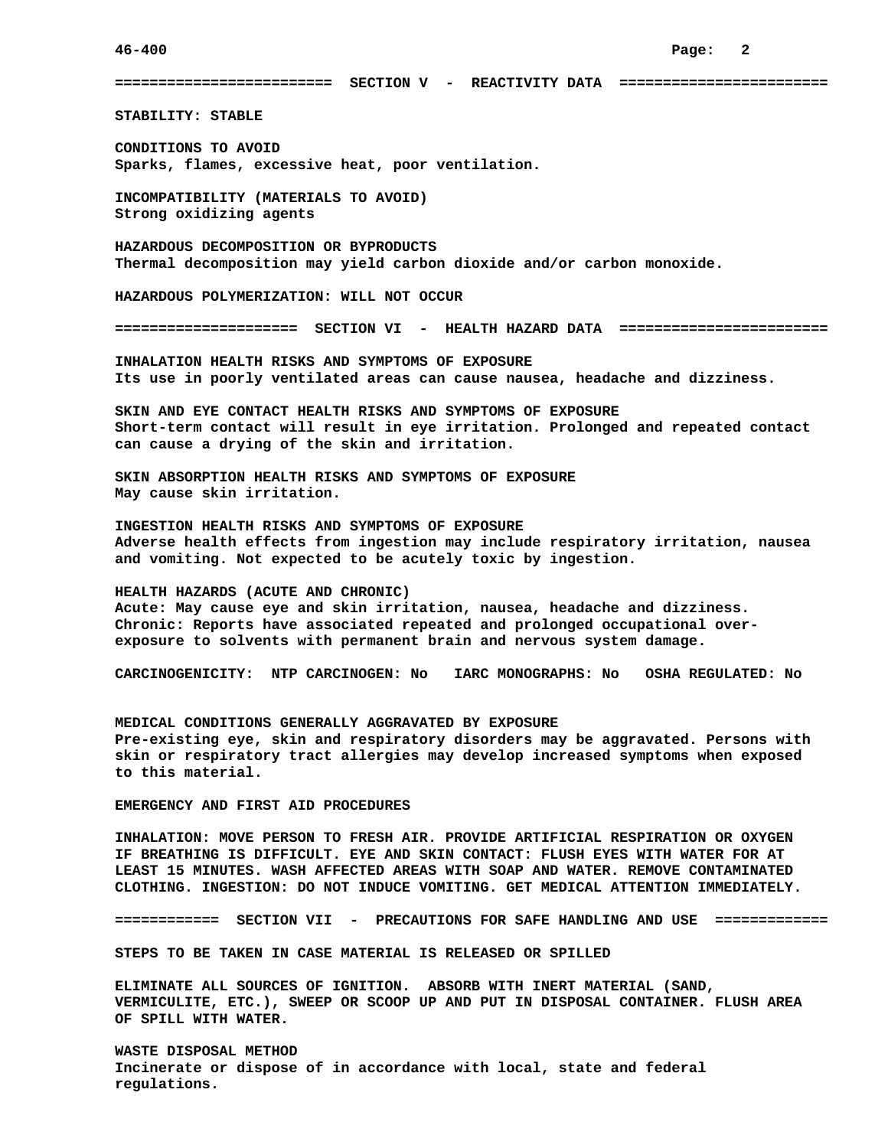**========================= SECTION V - REACTIVITY DATA ========================** 

**STABILITY: STABLE** 

**CONDITIONS TO AVOID Sparks, flames, excessive heat, poor ventilation.** 

**INCOMPATIBILITY (MATERIALS TO AVOID) Strong oxidizing agents** 

**HAZARDOUS DECOMPOSITION OR BYPRODUCTS Thermal decomposition may yield carbon dioxide and/or carbon monoxide.** 

**HAZARDOUS POLYMERIZATION: WILL NOT OCCUR** 

**===================== SECTION VI - HEALTH HAZARD DATA ========================** 

**INHALATION HEALTH RISKS AND SYMPTOMS OF EXPOSURE Its use in poorly ventilated areas can cause nausea, headache and dizziness.** 

**SKIN AND EYE CONTACT HEALTH RISKS AND SYMPTOMS OF EXPOSURE Short-term contact will result in eye irritation. Prolonged and repeated contact can cause a drying of the skin and irritation.** 

**SKIN ABSORPTION HEALTH RISKS AND SYMPTOMS OF EXPOSURE May cause skin irritation.** 

**INGESTION HEALTH RISKS AND SYMPTOMS OF EXPOSURE Adverse health effects from ingestion may include respiratory irritation, nausea and vomiting. Not expected to be acutely toxic by ingestion.** 

**HEALTH HAZARDS (ACUTE AND CHRONIC) Acute: May cause eye and skin irritation, nausea, headache and dizziness. Chronic: Reports have associated repeated and prolonged occupational overexposure to solvents with permanent brain and nervous system damage.** 

**CARCINOGENICITY: NTP CARCINOGEN: No IARC MONOGRAPHS: No OSHA REGULATED: No** 

**MEDICAL CONDITIONS GENERALLY AGGRAVATED BY EXPOSURE Pre-existing eye, skin and respiratory disorders may be aggravated. Persons with skin or respiratory tract allergies may develop increased symptoms when exposed to this material.** 

**EMERGENCY AND FIRST AID PROCEDURES** 

**INHALATION: MOVE PERSON TO FRESH AIR. PROVIDE ARTIFICIAL RESPIRATION OR OXYGEN IF BREATHING IS DIFFICULT. EYE AND SKIN CONTACT: FLUSH EYES WITH WATER FOR AT LEAST 15 MINUTES. WASH AFFECTED AREAS WITH SOAP AND WATER. REMOVE CONTAMINATED CLOTHING. INGESTION: DO NOT INDUCE VOMITING. GET MEDICAL ATTENTION IMMEDIATELY.** 

**============ SECTION VII - PRECAUTIONS FOR SAFE HANDLING AND USE =============** 

**STEPS TO BE TAKEN IN CASE MATERIAL IS RELEASED OR SPILLED** 

**ELIMINATE ALL SOURCES OF IGNITION. ABSORB WITH INERT MATERIAL (SAND, VERMICULITE, ETC.), SWEEP OR SCOOP UP AND PUT IN DISPOSAL CONTAINER. FLUSH AREA OF SPILL WITH WATER.** 

**WASTE DISPOSAL METHOD Incinerate or dispose of in accordance with local, state and federal regulations.**